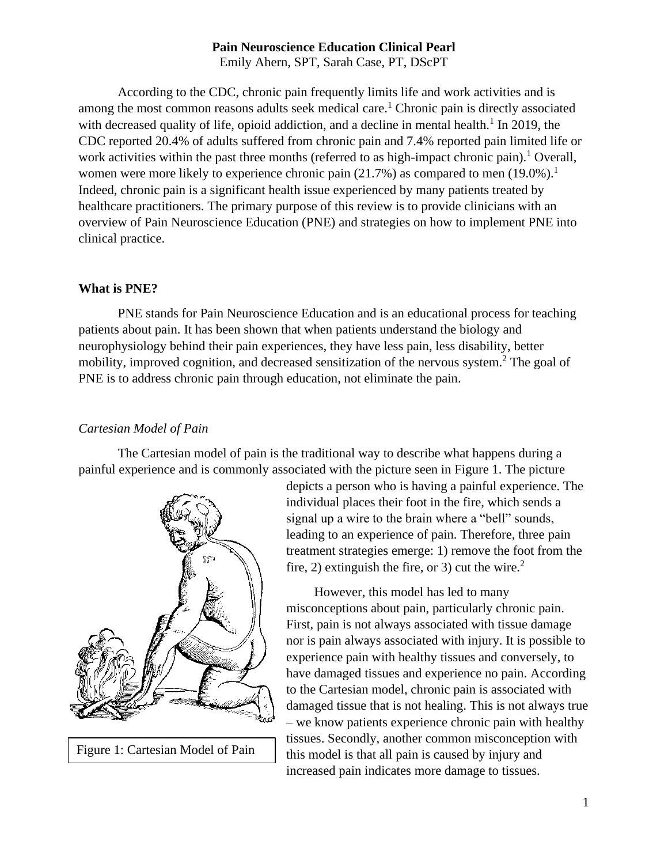Emily Ahern, SPT, Sarah Case, PT, DScPT

According to the CDC, chronic pain frequently limits life and work activities and is among the most common reasons adults seek medical care.<sup>1</sup> Chronic pain is directly associated with decreased quality of life, opioid addiction, and a decline in mental health. $1$  In 2019, the CDC reported 20.4% of adults suffered from chronic pain and 7.4% reported pain limited life or work activities within the past three months (referred to as high-impact chronic pain).<sup>1</sup> Overall, women were more likely to experience chronic pain  $(21.7%)$  as compared to men  $(19.0%)$ <sup>1</sup> Indeed, chronic pain is a significant health issue experienced by many patients treated by healthcare practitioners. The primary purpose of this review is to provide clinicians with an overview of Pain Neuroscience Education (PNE) and strategies on how to implement PNE into clinical practice.

### **What is PNE?**

PNE stands for Pain Neuroscience Education and is an educational process for teaching patients about pain. It has been shown that when patients understand the biology and neurophysiology behind their pain experiences, they have less pain, less disability, better mobility, improved cognition, and decreased sensitization of the nervous system.<sup>2</sup> The goal of PNE is to address chronic pain through education, not eliminate the pain.

# *Cartesian Model of Pain*

The Cartesian model of pain is the traditional way to describe what happens during a painful experience and is commonly associated with the picture seen in Figure 1. The picture



Figure 1: Cartesian Model of Pain

depicts a person who is having a painful experience. The individual places their foot in the fire, which sends a signal up a wire to the brain where a "bell" sounds, leading to an experience of pain. Therefore, three pain treatment strategies emerge: 1) remove the foot from the fire, 2) extinguish the fire, or 3) cut the wire.<sup>2</sup>

However, this model has led to many misconceptions about pain, particularly chronic pain. First, pain is not always associated with tissue damage nor is pain always associated with injury. It is possible to experience pain with healthy tissues and conversely, to have damaged tissues and experience no pain. According to the Cartesian model, chronic pain is associated with damaged tissue that is not healing. This is not always true – we know patients experience chronic pain with healthy tissues. Secondly, another common misconception with this model is that all pain is caused by injury and increased pain indicates more damage to tissues.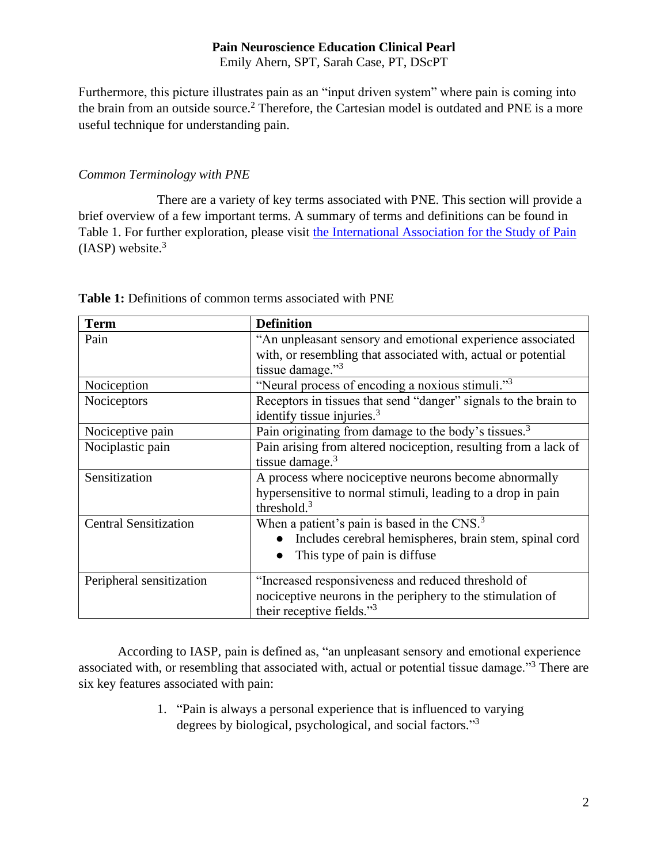Emily Ahern, SPT, Sarah Case, PT, DScPT

Furthermore, this picture illustrates pain as an "input driven system" where pain is coming into the brain from an outside source.<sup>2</sup> Therefore, the Cartesian model is outdated and PNE is a more useful technique for understanding pain.

## *Common Terminology with PNE*

There are a variety of key terms associated with PNE. This section will provide a brief overview of a few important terms. A summary of terms and definitions can be found in Table 1. For further exploration, please visit [the International Association for the Study of Pain](https://www.iasp-pain.org/resources/terminology/)  $(IASP)$  website. $3$ 

| <b>Term</b>                  | <b>Definition</b>                                                |
|------------------------------|------------------------------------------------------------------|
| Pain                         | "An unpleasant sensory and emotional experience associated       |
|                              | with, or resembling that associated with, actual or potential    |
|                              | tissue damage."3                                                 |
| Nociception                  | "Neural process of encoding a noxious stimuli."3                 |
| Nociceptors                  | Receptors in tissues that send "danger" signals to the brain to  |
|                              | identify tissue injuries. $3$                                    |
| Nociceptive pain             | Pain originating from damage to the body's tissues. <sup>3</sup> |
| Nociplastic pain             | Pain arising from altered nociception, resulting from a lack of  |
|                              | tissue damage. $3$                                               |
| Sensitization                | A process where nociceptive neurons become abnormally            |
|                              | hypersensitive to normal stimuli, leading to a drop in pain      |
|                              | threshold. $3$                                                   |
| <b>Central Sensitization</b> | When a patient's pain is based in the CNS. <sup>3</sup>          |
|                              | Includes cerebral hemispheres, brain stem, spinal cord           |
|                              | This type of pain is diffuse                                     |
| Peripheral sensitization     | "Increased responsiveness and reduced threshold of               |
|                              | nociceptive neurons in the periphery to the stimulation of       |
|                              | their receptive fields." <sup>3</sup>                            |

**Table 1:** Definitions of common terms associated with PNE

According to IASP, pain is defined as, "an unpleasant sensory and emotional experience associated with, or resembling that associated with, actual or potential tissue damage."<sup>3</sup> There are six key features associated with pain:

> 1. "Pain is always a personal experience that is influenced to varying degrees by biological, psychological, and social factors."<sup>3</sup>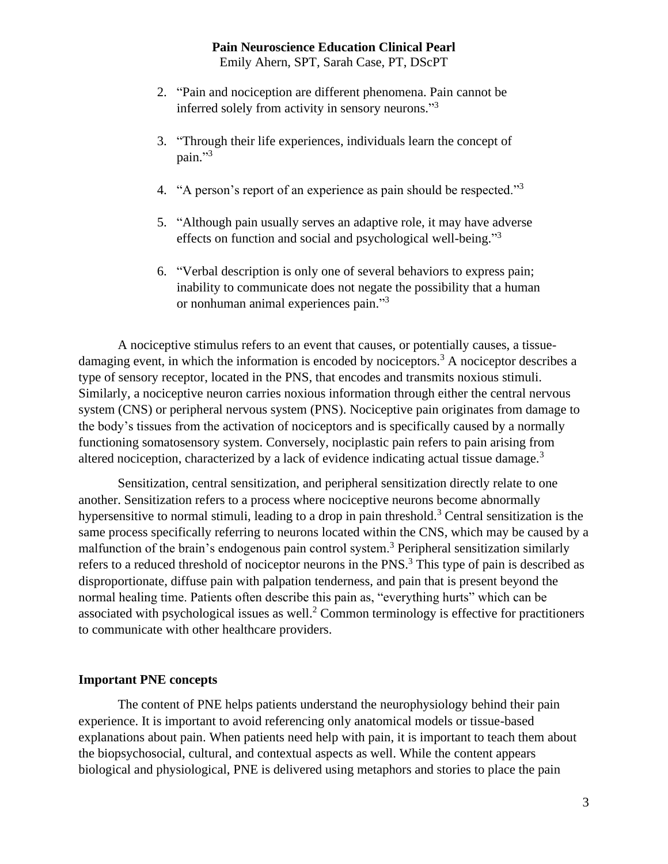Emily Ahern, SPT, Sarah Case, PT, DScPT

- 2. "Pain and nociception are different phenomena. Pain cannot be inferred solely from activity in sensory neurons."<sup>3</sup>
- 3. "Through their life experiences, individuals learn the concept of pain."3
- 4. "A person's report of an experience as pain should be respected."<sup>3</sup>
- 5. "Although pain usually serves an adaptive role, it may have adverse effects on function and social and psychological well-being."<sup>3</sup>
- 6. "Verbal description is only one of several behaviors to express pain; inability to communicate does not negate the possibility that a human or nonhuman animal experiences pain."<sup>3</sup>

A nociceptive stimulus refers to an event that causes, or potentially causes, a tissuedamaging event, in which the information is encoded by nociceptors.<sup>3</sup> A nociceptor describes a type of sensory receptor, located in the PNS, that encodes and transmits noxious stimuli. Similarly, a nociceptive neuron carries noxious information through either the central nervous system (CNS) or peripheral nervous system (PNS). Nociceptive pain originates from damage to the body's tissues from the activation of nociceptors and is specifically caused by a normally functioning somatosensory system. Conversely, nociplastic pain refers to pain arising from altered nociception, characterized by a lack of evidence indicating actual tissue damage.<sup>3</sup>

Sensitization, central sensitization, and peripheral sensitization directly relate to one another. Sensitization refers to a process where nociceptive neurons become abnormally hypersensitive to normal stimuli, leading to a drop in pain threshold.<sup>3</sup> Central sensitization is the same process specifically referring to neurons located within the CNS, which may be caused by a malfunction of the brain's endogenous pain control system.<sup>3</sup> Peripheral sensitization similarly refers to a reduced threshold of nociceptor neurons in the PNS.<sup>3</sup> This type of pain is described as disproportionate, diffuse pain with palpation tenderness, and pain that is present beyond the normal healing time. Patients often describe this pain as, "everything hurts" which can be associated with psychological issues as well.<sup>2</sup> Common terminology is effective for practitioners to communicate with other healthcare providers.

# **Important PNE concepts**

The content of PNE helps patients understand the neurophysiology behind their pain experience. It is important to avoid referencing only anatomical models or tissue-based explanations about pain. When patients need help with pain, it is important to teach them about the biopsychosocial, cultural, and contextual aspects as well. While the content appears biological and physiological, PNE is delivered using metaphors and stories to place the pain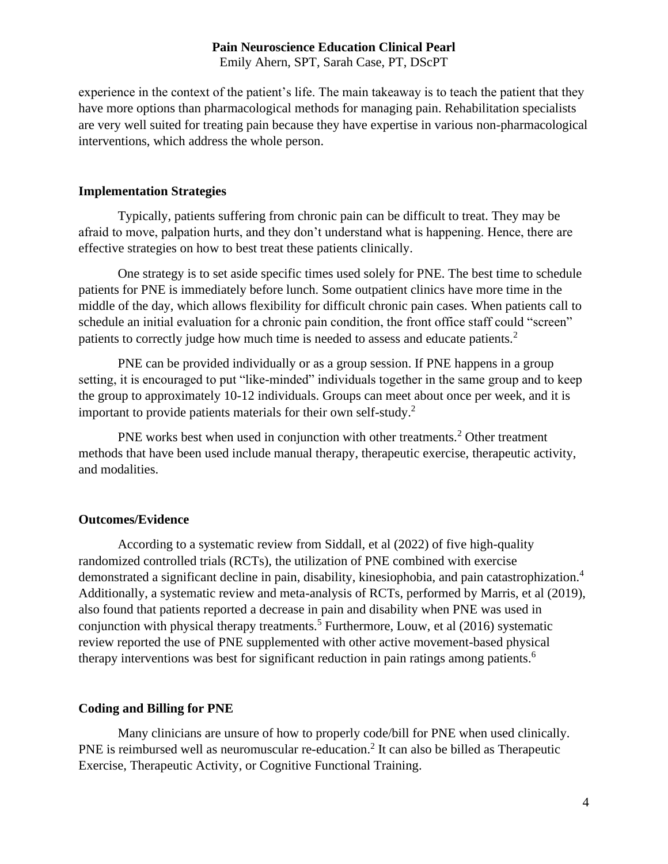Emily Ahern, SPT, Sarah Case, PT, DScPT

experience in the context of the patient's life. The main takeaway is to teach the patient that they have more options than pharmacological methods for managing pain. Rehabilitation specialists are very well suited for treating pain because they have expertise in various non-pharmacological interventions, which address the whole person.

#### **Implementation Strategies**

Typically, patients suffering from chronic pain can be difficult to treat. They may be afraid to move, palpation hurts, and they don't understand what is happening. Hence, there are effective strategies on how to best treat these patients clinically.

One strategy is to set aside specific times used solely for PNE. The best time to schedule patients for PNE is immediately before lunch. Some outpatient clinics have more time in the middle of the day, which allows flexibility for difficult chronic pain cases. When patients call to schedule an initial evaluation for a chronic pain condition, the front office staff could "screen" patients to correctly judge how much time is needed to assess and educate patients.<sup>2</sup>

PNE can be provided individually or as a group session. If PNE happens in a group setting, it is encouraged to put "like-minded" individuals together in the same group and to keep the group to approximately 10-12 individuals. Groups can meet about once per week, and it is important to provide patients materials for their own self-study. 2

PNE works best when used in conjunction with other treatments.<sup>2</sup> Other treatment methods that have been used include manual therapy, therapeutic exercise, therapeutic activity, and modalities.

### **Outcomes/Evidence**

According to a systematic review from Siddall, et al (2022) of five high-quality randomized controlled trials (RCTs), the utilization of PNE combined with exercise demonstrated a significant decline in pain, disability, kinesiophobia, and pain catastrophization.<sup>4</sup> Additionally, a systematic review and meta-analysis of RCTs, performed by Marris, et al (2019), also found that patients reported a decrease in pain and disability when PNE was used in conjunction with physical therapy treatments.<sup>5</sup> Furthermore, Louw, et al  $(2016)$  systematic review reported the use of PNE supplemented with other active movement-based physical therapy interventions was best for significant reduction in pain ratings among patients.<sup>6</sup>

### **Coding and Billing for PNE**

Many clinicians are unsure of how to properly code/bill for PNE when used clinically. PNE is reimbursed well as neuromuscular re-education.<sup>2</sup> It can also be billed as Therapeutic Exercise, Therapeutic Activity, or Cognitive Functional Training.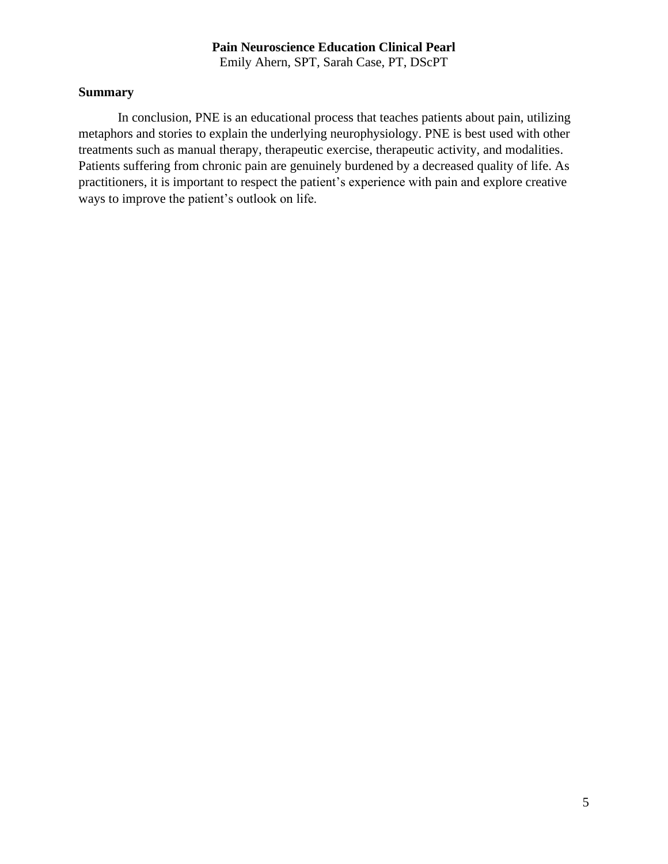Emily Ahern, SPT, Sarah Case, PT, DScPT

## **Summary**

In conclusion, PNE is an educational process that teaches patients about pain, utilizing metaphors and stories to explain the underlying neurophysiology. PNE is best used with other treatments such as manual therapy, therapeutic exercise, therapeutic activity, and modalities. Patients suffering from chronic pain are genuinely burdened by a decreased quality of life. As practitioners, it is important to respect the patient's experience with pain and explore creative ways to improve the patient's outlook on life.